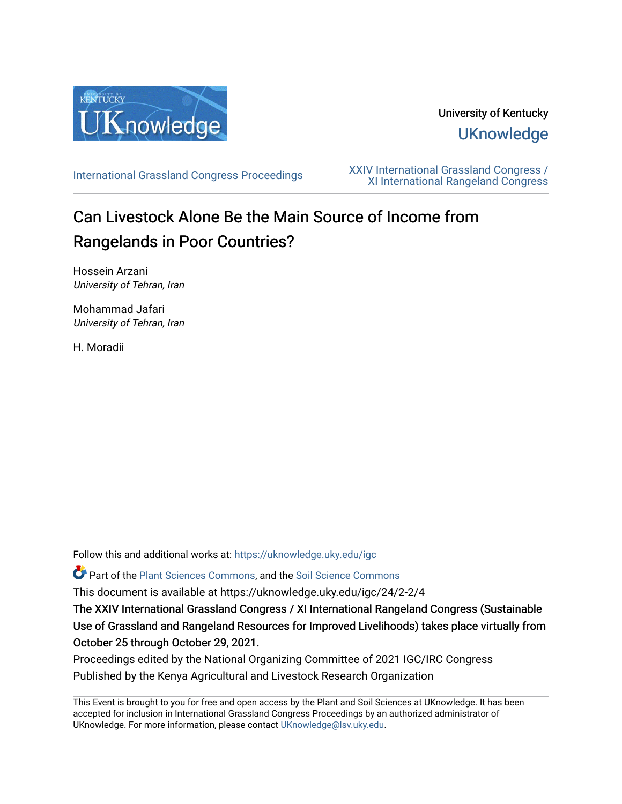

# University of Kentucky **UKnowledge**

[International Grassland Congress Proceedings](https://uknowledge.uky.edu/igc) [XXIV International Grassland Congress /](https://uknowledge.uky.edu/igc/24)  [XI International Rangeland Congress](https://uknowledge.uky.edu/igc/24) 

# Can Livestock Alone Be the Main Source of Income from Rangelands in Poor Countries?

Hossein Arzani University of Tehran, Iran

Mohammad Jafari University of Tehran, Iran

H. Moradii

Follow this and additional works at: [https://uknowledge.uky.edu/igc](https://uknowledge.uky.edu/igc?utm_source=uknowledge.uky.edu%2Figc%2F24%2F2-2%2F4&utm_medium=PDF&utm_campaign=PDFCoverPages) 

Part of the [Plant Sciences Commons](http://network.bepress.com/hgg/discipline/102?utm_source=uknowledge.uky.edu%2Figc%2F24%2F2-2%2F4&utm_medium=PDF&utm_campaign=PDFCoverPages), and the [Soil Science Commons](http://network.bepress.com/hgg/discipline/163?utm_source=uknowledge.uky.edu%2Figc%2F24%2F2-2%2F4&utm_medium=PDF&utm_campaign=PDFCoverPages) 

This document is available at https://uknowledge.uky.edu/igc/24/2-2/4

The XXIV International Grassland Congress / XI International Rangeland Congress (Sustainable Use of Grassland and Rangeland Resources for Improved Livelihoods) takes place virtually from October 25 through October 29, 2021.

Proceedings edited by the National Organizing Committee of 2021 IGC/IRC Congress Published by the Kenya Agricultural and Livestock Research Organization

This Event is brought to you for free and open access by the Plant and Soil Sciences at UKnowledge. It has been accepted for inclusion in International Grassland Congress Proceedings by an authorized administrator of UKnowledge. For more information, please contact [UKnowledge@lsv.uky.edu](mailto:UKnowledge@lsv.uky.edu).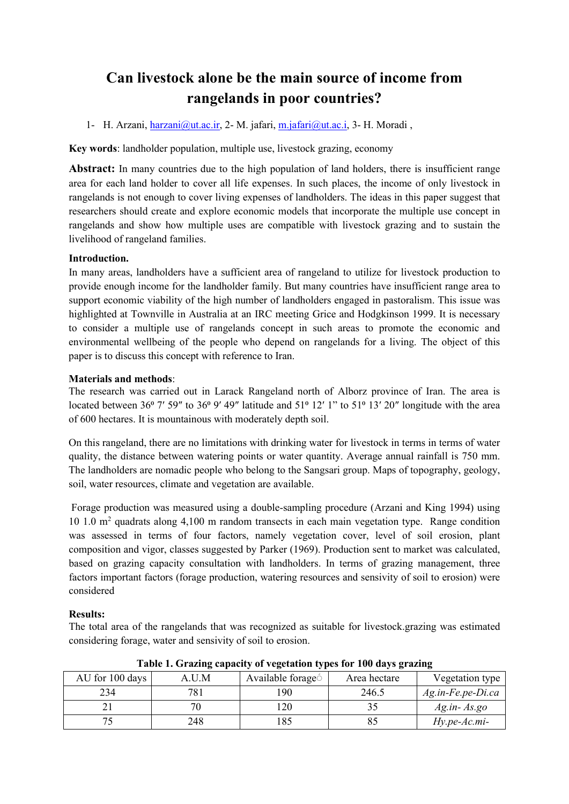# **Can livestock alone be the main source of income from rangelands in poor countries?**

## 1- H. Arzani, *harzani@ut.ac.ir*, 2- M. jafari, [m.jafari@ut.ac.i,](mailto:m.jafari@ut.ac.i) 3- H. Moradi,

**Key words**: landholder population, multiple use, livestock grazing, economy

**Abstract:** In many countries due to the high population of land holders, there is insufficient range area for each land holder to cover all life expenses. In such places, the income of only livestock in rangelands is not enough to cover living expenses of landholders. The ideas in this paper suggest that researchers should create and explore economic models that incorporate the multiple use concept in rangelands and show how multiple uses are compatible with livestock grazing and to sustain the livelihood of rangeland families.

### **Introduction.**

In many areas, landholders have a sufficient area of rangeland to utilize for livestock production to provide enough income for the landholder family. But many countries have insufficient range area to support economic viability of the high number of landholders engaged in pastoralism. This issue was highlighted at Townville in Australia at an IRC meeting Grice and Hodgkinson 1999. It is necessary to consider a multiple use of rangelands concept in such areas to promote the economic and environmental wellbeing of the people who depend on rangelands for a living. The object of this paper is to discuss this concept with reference to Iran.

### **Materials and methods**:

The research was carried out in Larack Rangeland north of Alborz province of Iran. The area is located between 36 $\degree$  7′ 59" to 36 $\degree$  9′ 49" latitude and 51 $\degree$  12′ 1" to 51 $\degree$  13′ 20" longitude with the area of 600 hectares. It is mountainous with moderately depth soil.

On this rangeland, there are no limitations with drinking water for livestock in terms in terms of water quality, the distance between watering points or water quantity. Average annual rainfall is 750 mm. The landholders are nomadic people who belong to the Sangsari group. Maps of topography, geology, soil, water resources, climate and vegetation are available.

Forage production was measured using a double-sampling procedure (Arzani and King 1994) using 10 1.0 m<sup>2</sup> quadrats along 4,100 m random transects in each main vegetation type. Range condition was assessed in terms of four factors, namely vegetation cover, level of soil erosion, plant composition and vigor, classes suggested by Parker (1969). Production sent to market was calculated, based on grazing capacity consultation with landholders. In terms of grazing management, three factors important factors (forage production, watering resources and sensivity of soil to erosion) were considered

# **Results:**

The total area of the rangelands that was recognized as suitable for livestock.grazing was estimated considering forage, water and sensivity of soil to erosion.

| Thore is Organized themely or regulation types for 100 days graaniz |       |                               |              |                   |  |
|---------------------------------------------------------------------|-------|-------------------------------|--------------|-------------------|--|
| AU for 100 days                                                     | A.U.M | Available forage <sup>6</sup> | Area hectare | Vegetation type   |  |
| 234                                                                 | 781   | 90                            | 246.5        | Ag.in-Fe.pe-Di.ca |  |
|                                                                     |       |                               |              | $Ag.in-As.go$     |  |
|                                                                     | 248   |                               |              | $Hy.pe-Ac.mi-$    |  |

**Table 1. Grazing capacity of vegetation types for 100 days grazing**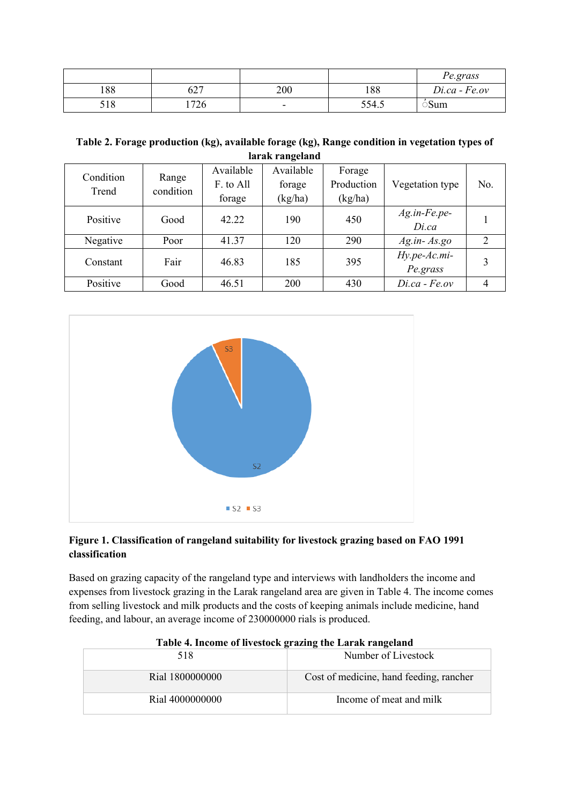|     |                |                          |       | Pe.grass        |
|-----|----------------|--------------------------|-------|-----------------|
| 188 | $\sim$<br>02 i | 200                      | 188   | $Di.ca - Fe.ov$ |
| 518 | 726            | $\overline{\phantom{0}}$ | 554.5 | Sum             |

### **Table 2. Forage production (kg), available forage (kg), Range condition in vegetation types of larak rangeland**

| Condition<br>Trend | Range<br>condition | Available | Available | Forage     |                  |                |
|--------------------|--------------------|-----------|-----------|------------|------------------|----------------|
|                    |                    | F. to All | forage    | Production | Vegetation type  | No.            |
|                    |                    | forage    | (kg/ha)   | (kg/ha)    |                  |                |
| Positive           | Good               | 42.22     | 190       | 450        | $Ag.in-Fe.pe-$   |                |
|                    |                    |           |           |            | Di.ca            |                |
| Negative           | Poor               | 41.37     | 120       | 290        | $Ag.in-As.go$    | $\overline{2}$ |
| Constant           | Fair               | 46.83     | 185       | 395        | Hy.pe-Ac.mi-     |                |
|                    |                    |           |           |            | Pe.grass         |                |
| Positive           | Good               | 46.51     | 200       | 430        | $Di.ca - Fe.gov$ |                |



# **Figure 1. Classification of rangeland suitability for livestock grazing based on FAO 1991 classification**

Based on grazing capacity of the rangeland type and interviews with landholders the income and expenses from livestock grazing in the Larak rangeland area are given in Table 4. The income comes from selling livestock and milk products and the costs of keeping animals include medicine, hand feeding, and labour, an average income of 230000000 rials is produced.

| Table 4. Hitchite of hytototh grazing the Laran rangeland |                                         |  |  |  |
|-----------------------------------------------------------|-----------------------------------------|--|--|--|
| 518                                                       | Number of Livestock                     |  |  |  |
| Rial 1800000000                                           | Cost of medicine, hand feeding, rancher |  |  |  |
| Rial 4000000000                                           | Income of meat and milk                 |  |  |  |

|  | Table 4. Income of livestock grazing the Larak rangeland |
|--|----------------------------------------------------------|
|  |                                                          |